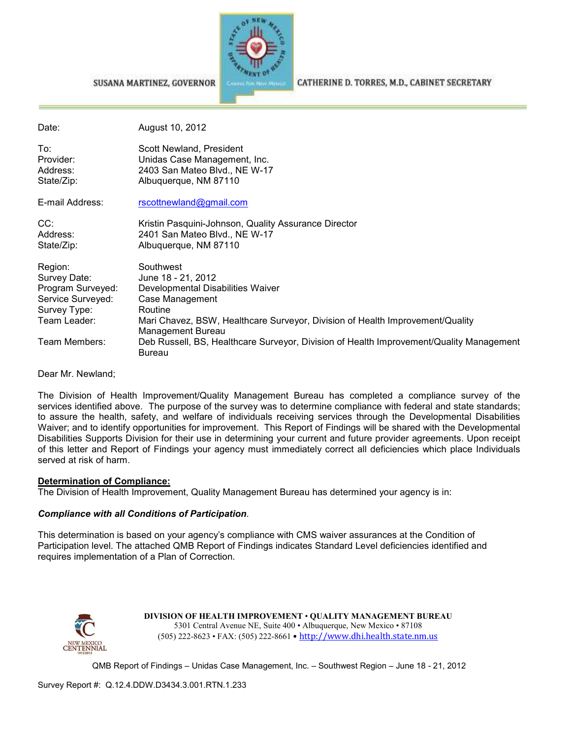

SUSANA MARTINEZ, GOVERNOR

CATHERINE D. TORRES, M.D., CABINET SECRETARY

| Date:                                                                             | August 10, 2012                                                                                                    |
|-----------------------------------------------------------------------------------|--------------------------------------------------------------------------------------------------------------------|
| To:<br>Provider:<br>Address:<br>State/Zip:                                        | Scott Newland, President<br>Unidas Case Management, Inc.<br>2403 San Mateo Blvd., NE W-17<br>Albuquerque, NM 87110 |
| E-mail Address:                                                                   | rscottnewland@gmail.com                                                                                            |
| CC:<br>Address:<br>State/Zip:                                                     | Kristin Pasquini-Johnson, Quality Assurance Director<br>2401 San Mateo Blvd., NE W-17<br>Albuquerque, NM 87110     |
| Region:<br>Survey Date:<br>Program Surveyed:<br>Service Surveyed:<br>Survey Type: | Southwest<br>June 18 - 21, 2012<br>Developmental Disabilities Waiver<br>Case Management<br>Routine                 |
| Team Leader:                                                                      | Mari Chavez, BSW, Healthcare Surveyor, Division of Health Improvement/Quality<br>Management Bureau                 |
| Team Members:                                                                     | Deb Russell, BS, Healthcare Surveyor, Division of Health Improvement/Quality Management<br>Bureau                  |

Dear Mr. Newland;

The Division of Health Improvement/Quality Management Bureau has completed a compliance survey of the services identified above. The purpose of the survey was to determine compliance with federal and state standards; to assure the health, safety, and welfare of individuals receiving services through the Developmental Disabilities Waiver; and to identify opportunities for improvement. This Report of Findings will be shared with the Developmental Disabilities Supports Division for their use in determining your current and future provider agreements. Upon receipt of this letter and Report of Findings your agency must immediately correct all deficiencies which place Individuals served at risk of harm.

#### **Determination of Compliance:**

The Division of Health Improvement, Quality Management Bureau has determined your agency is in:

### *Compliance with all Conditions of Participation*.

This determination is based on your agency's compliance with CMS waiver assurances at the Condition of Participation level. The attached QMB Report of Findings indicates Standard Level deficiencies identified and requires implementation of a Plan of Correction.



**DIVISION OF HEALTH IMPROVEMENT** • **QUALITY MANAGEMENT BUREAU** 5301 Central Avenue NE, Suite 400 • Albuquerque, New Mexico • 87108 (505) 222-8623 • FAX: (505) 222-8661 • http://www.dhi.health.state.nm.us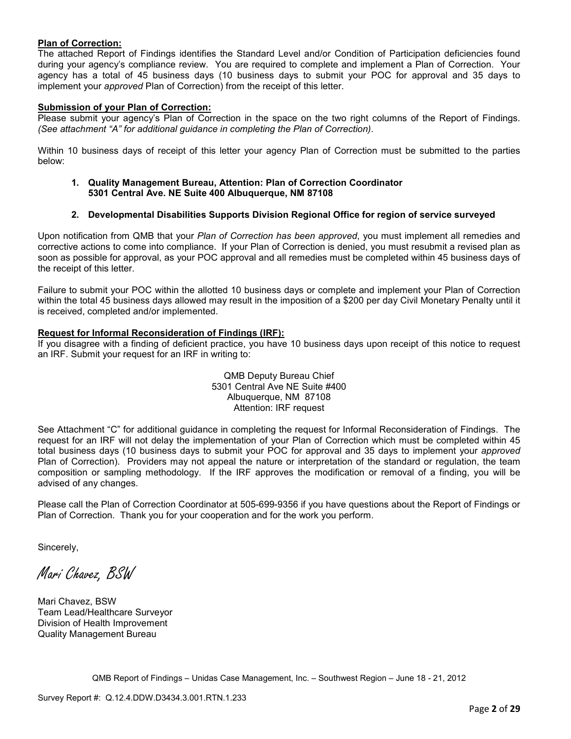### **Plan of Correction:**

The attached Report of Findings identifies the Standard Level and/or Condition of Participation deficiencies found during your agency's compliance review. You are required to complete and implement a Plan of Correction. Your agency has a total of 45 business days (10 business days to submit your POC for approval and 35 days to implement your *approved* Plan of Correction) from the receipt of this letter.

#### **Submission of your Plan of Correction:**

Please submit your agency's Plan of Correction in the space on the two right columns of the Report of Findings. *(See attachment "A" for additional guidance in completing the Plan of Correction)*.

Within 10 business days of receipt of this letter your agency Plan of Correction must be submitted to the parties below:

**1. Quality Management Bureau, Attention: Plan of Correction Coordinator 5301 Central Ave. NE Suite 400 Albuquerque, NM 87108** 

### **2. Developmental Disabilities Supports Division Regional Office for region of service surveyed**

Upon notification from QMB that your *Plan of Correction has been approved*, you must implement all remedies and corrective actions to come into compliance. If your Plan of Correction is denied, you must resubmit a revised plan as soon as possible for approval, as your POC approval and all remedies must be completed within 45 business days of the receipt of this letter.

Failure to submit your POC within the allotted 10 business days or complete and implement your Plan of Correction within the total 45 business days allowed may result in the imposition of a \$200 per day Civil Monetary Penalty until it is received, completed and/or implemented.

#### **Request for Informal Reconsideration of Findings (IRF):**

If you disagree with a finding of deficient practice, you have 10 business days upon receipt of this notice to request an IRF. Submit your request for an IRF in writing to:

> QMB Deputy Bureau Chief 5301 Central Ave NE Suite #400 Albuquerque, NM 87108 Attention: IRF request

See Attachment "C" for additional guidance in completing the request for Informal Reconsideration of Findings. The request for an IRF will not delay the implementation of your Plan of Correction which must be completed within 45 total business days (10 business days to submit your POC for approval and 35 days to implement your *approved* Plan of Correction). Providers may not appeal the nature or interpretation of the standard or regulation, the team composition or sampling methodology. If the IRF approves the modification or removal of a finding, you will be advised of any changes.

Please call the Plan of Correction Coordinator at 505-699-9356 if you have questions about the Report of Findings or Plan of Correction. Thank you for your cooperation and for the work you perform.

Sincerely,

Mari Chavez, BSW

Mari Chavez, BSW Team Lead/Healthcare Surveyor Division of Health Improvement Quality Management Bureau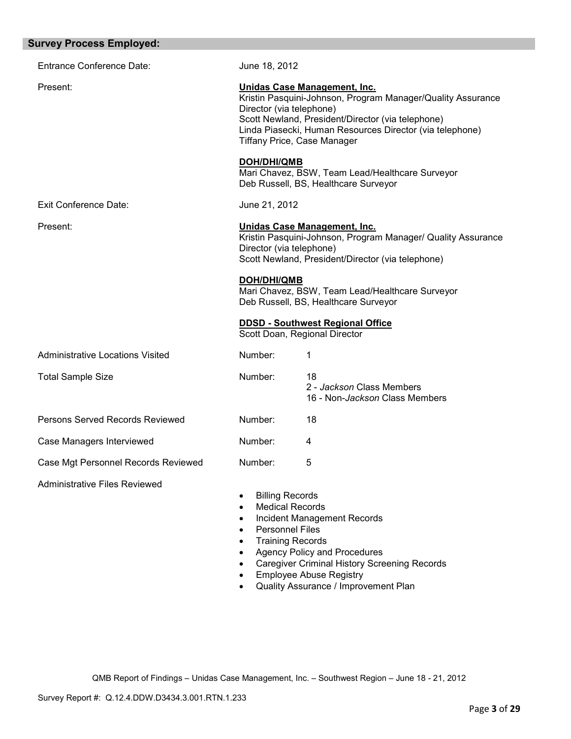| <b>Survey Process Employed:</b>         |                                                                                                                                                        |                                                                                                                                                                                                                                             |  |
|-----------------------------------------|--------------------------------------------------------------------------------------------------------------------------------------------------------|---------------------------------------------------------------------------------------------------------------------------------------------------------------------------------------------------------------------------------------------|--|
| <b>Entrance Conference Date:</b>        | June 18, 2012                                                                                                                                          |                                                                                                                                                                                                                                             |  |
| Present:                                | Director (via telephone)                                                                                                                               | Unidas Case Management, Inc.<br>Kristin Pasquini-Johnson, Program Manager/Quality Assurance<br>Scott Newland, President/Director (via telephone)<br>Linda Piasecki, Human Resources Director (via telephone)<br>Tiffany Price, Case Manager |  |
|                                         | DOH/DHI/QMB                                                                                                                                            | Mari Chavez, BSW, Team Lead/Healthcare Surveyor<br>Deb Russell, BS, Healthcare Surveyor                                                                                                                                                     |  |
| <b>Exit Conference Date:</b>            | June 21, 2012                                                                                                                                          |                                                                                                                                                                                                                                             |  |
| Present:                                |                                                                                                                                                        | Unidas Case Management, Inc.<br>Kristin Pasquini-Johnson, Program Manager/ Quality Assurance<br>Director (via telephone)<br>Scott Newland, President/Director (via telephone)                                                               |  |
|                                         | <b>DOH/DHI/QMB</b>                                                                                                                                     | Mari Chavez, BSW, Team Lead/Healthcare Surveyor<br>Deb Russell, BS, Healthcare Surveyor                                                                                                                                                     |  |
|                                         |                                                                                                                                                        | <b>DDSD - Southwest Regional Office</b><br>Scott Doan, Regional Director                                                                                                                                                                    |  |
| <b>Administrative Locations Visited</b> | Number:                                                                                                                                                | 1                                                                                                                                                                                                                                           |  |
| <b>Total Sample Size</b>                | Number:                                                                                                                                                | 18<br>2 - Jackson Class Members<br>16 - Non-Jackson Class Members                                                                                                                                                                           |  |
| Persons Served Records Reviewed         | Number:                                                                                                                                                | 18                                                                                                                                                                                                                                          |  |
| Case Managers Interviewed               | Number:                                                                                                                                                | 4                                                                                                                                                                                                                                           |  |
| Case Mgt Personnel Records Reviewed     | Number:                                                                                                                                                | 5                                                                                                                                                                                                                                           |  |
| <b>Administrative Files Reviewed</b>    | <b>Billing Records</b><br>$\bullet$<br><b>Medical Records</b><br>٠<br>٠<br><b>Personnel Files</b><br>$\bullet$<br><b>Training Records</b><br>$\bullet$ | Incident Management Records<br><b>Agency Policy and Procedures</b><br><b>Caregiver Criminal History Screening Records</b><br><b>Employee Abuse Registry</b>                                                                                 |  |

• Quality Assurance / Improvement Plan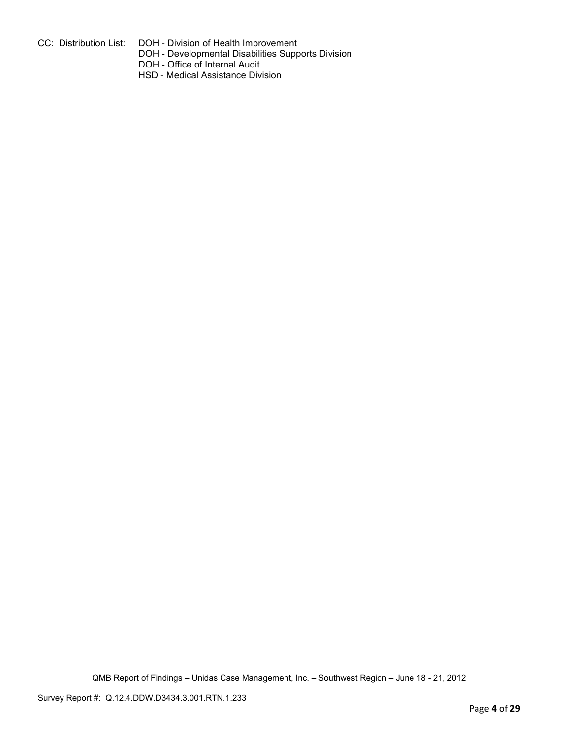- 
- CC: Distribution List: DOH Division of Health Improvement
	- DOH Developmental Disabilities Supports Division
	- DOH Office of Internal Audit
	- HSD Medical Assistance Division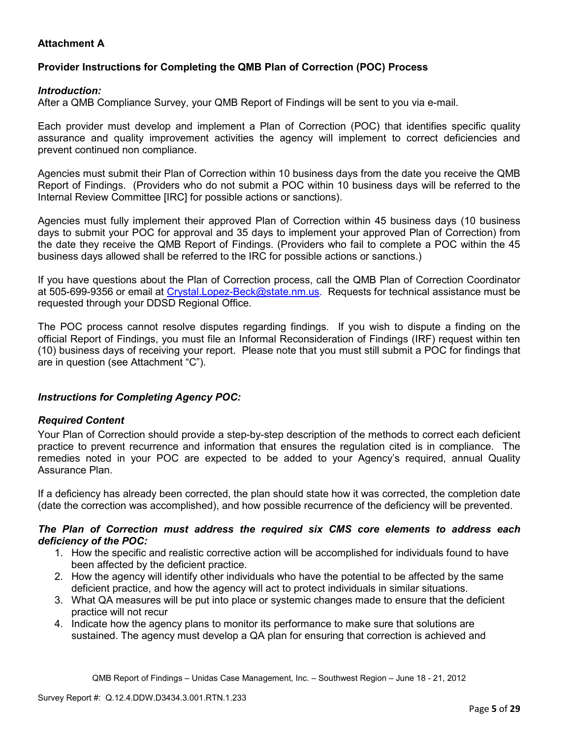# **Attachment A**

# **Provider Instructions for Completing the QMB Plan of Correction (POC) Process**

## *Introduction:*

After a QMB Compliance Survey, your QMB Report of Findings will be sent to you via e-mail.

Each provider must develop and implement a Plan of Correction (POC) that identifies specific quality assurance and quality improvement activities the agency will implement to correct deficiencies and prevent continued non compliance.

Agencies must submit their Plan of Correction within 10 business days from the date you receive the QMB Report of Findings. (Providers who do not submit a POC within 10 business days will be referred to the Internal Review Committee [IRC] for possible actions or sanctions).

Agencies must fully implement their approved Plan of Correction within 45 business days (10 business days to submit your POC for approval and 35 days to implement your approved Plan of Correction) from the date they receive the QMB Report of Findings. (Providers who fail to complete a POC within the 45 business days allowed shall be referred to the IRC for possible actions or sanctions.)

If you have questions about the Plan of Correction process, call the QMB Plan of Correction Coordinator at 505-699-9356 or email at Crystal.Lopez-Beck@state.nm.us. Requests for technical assistance must be requested through your DDSD Regional Office.

The POC process cannot resolve disputes regarding findings. If you wish to dispute a finding on the official Report of Findings, you must file an Informal Reconsideration of Findings (IRF) request within ten (10) business days of receiving your report. Please note that you must still submit a POC for findings that are in question (see Attachment "C").

## *Instructions for Completing Agency POC:*

## *Required Content*

Your Plan of Correction should provide a step-by-step description of the methods to correct each deficient practice to prevent recurrence and information that ensures the regulation cited is in compliance. The remedies noted in your POC are expected to be added to your Agency's required, annual Quality Assurance Plan.

If a deficiency has already been corrected, the plan should state how it was corrected, the completion date (date the correction was accomplished), and how possible recurrence of the deficiency will be prevented.

### *The Plan of Correction must address the required six CMS core elements to address each deficiency of the POC:*

- 1. How the specific and realistic corrective action will be accomplished for individuals found to have been affected by the deficient practice.
- 2. How the agency will identify other individuals who have the potential to be affected by the same deficient practice, and how the agency will act to protect individuals in similar situations.
- 3. What QA measures will be put into place or systemic changes made to ensure that the deficient practice will not recur
- 4. Indicate how the agency plans to monitor its performance to make sure that solutions are sustained. The agency must develop a QA plan for ensuring that correction is achieved and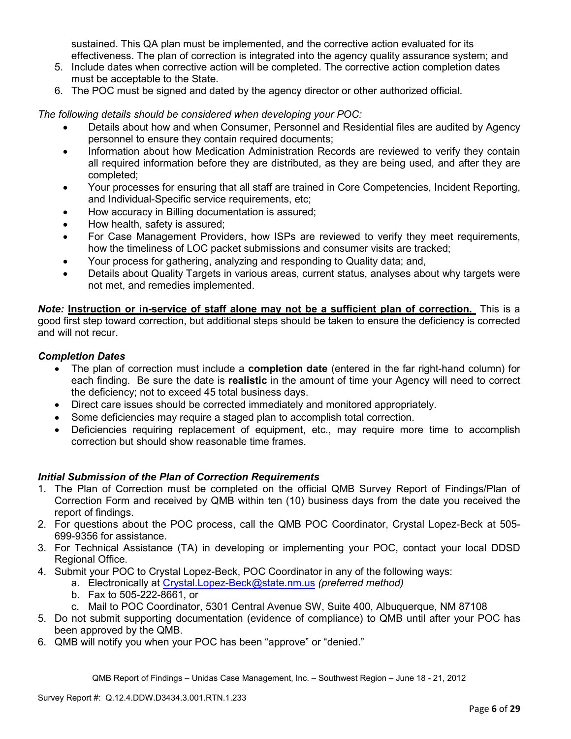sustained. This QA plan must be implemented, and the corrective action evaluated for its effectiveness. The plan of correction is integrated into the agency quality assurance system; and

- 5. Include dates when corrective action will be completed. The corrective action completion dates must be acceptable to the State.
- 6. The POC must be signed and dated by the agency director or other authorized official.

*The following details should be considered when developing your POC:* 

- Details about how and when Consumer, Personnel and Residential files are audited by Agency personnel to ensure they contain required documents;
- Information about how Medication Administration Records are reviewed to verify they contain all required information before they are distributed, as they are being used, and after they are completed;
- Your processes for ensuring that all staff are trained in Core Competencies, Incident Reporting, and Individual-Specific service requirements, etc;
- How accuracy in Billing documentation is assured;
- How health, safety is assured;
- For Case Management Providers, how ISPs are reviewed to verify they meet requirements, how the timeliness of LOC packet submissions and consumer visits are tracked;
- Your process for gathering, analyzing and responding to Quality data; and,
- Details about Quality Targets in various areas, current status, analyses about why targets were not met, and remedies implemented.

*Note:* **Instruction or in-service of staff alone may not be a sufficient plan of correction.** This is a good first step toward correction, but additional steps should be taken to ensure the deficiency is corrected and will not recur.

## *Completion Dates*

- The plan of correction must include a **completion date** (entered in the far right-hand column) for each finding. Be sure the date is **realistic** in the amount of time your Agency will need to correct the deficiency; not to exceed 45 total business days.
- Direct care issues should be corrected immediately and monitored appropriately.
- Some deficiencies may require a staged plan to accomplish total correction.
- Deficiencies requiring replacement of equipment, etc., may require more time to accomplish correction but should show reasonable time frames.

## *Initial Submission of the Plan of Correction Requirements*

- 1. The Plan of Correction must be completed on the official QMB Survey Report of Findings/Plan of Correction Form and received by QMB within ten (10) business days from the date you received the report of findings.
- 2. For questions about the POC process, call the QMB POC Coordinator, Crystal Lopez-Beck at 505- 699-9356 for assistance.
- 3. For Technical Assistance (TA) in developing or implementing your POC, contact your local DDSD Regional Office.
- 4. Submit your POC to Crystal Lopez-Beck, POC Coordinator in any of the following ways:
	- a. Electronically at Crystal.Lopez-Beck@state.nm.us *(preferred method)*
	- b. Fax to 505-222-8661, or
	- c. Mail to POC Coordinator, 5301 Central Avenue SW, Suite 400, Albuquerque, NM 87108
- 5. Do not submit supporting documentation (evidence of compliance) to QMB until after your POC has been approved by the QMB.
- 6. QMB will notify you when your POC has been "approve" or "denied."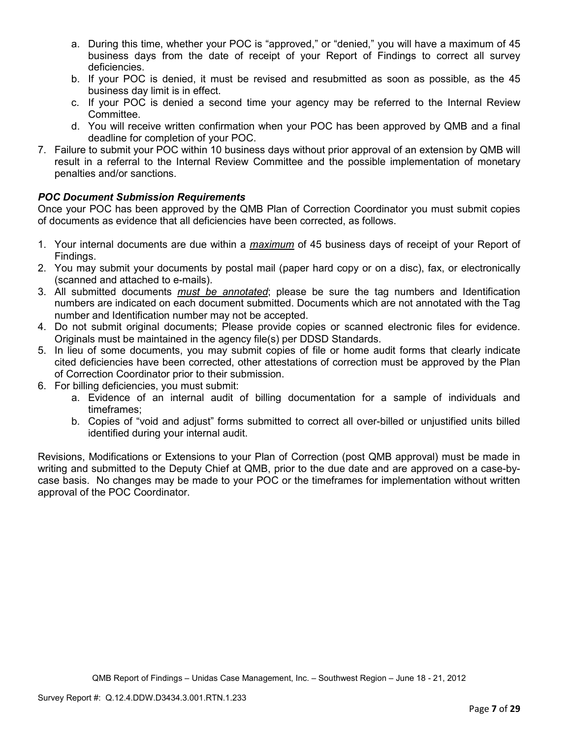- a. During this time, whether your POC is "approved," or "denied," you will have a maximum of 45 business days from the date of receipt of your Report of Findings to correct all survey deficiencies.
- b. If your POC is denied, it must be revised and resubmitted as soon as possible, as the 45 business day limit is in effect.
- c. If your POC is denied a second time your agency may be referred to the Internal Review Committee.
- d. You will receive written confirmation when your POC has been approved by QMB and a final deadline for completion of your POC.
- 7. Failure to submit your POC within 10 business days without prior approval of an extension by QMB will result in a referral to the Internal Review Committee and the possible implementation of monetary penalties and/or sanctions.

# *POC Document Submission Requirements*

Once your POC has been approved by the QMB Plan of Correction Coordinator you must submit copies of documents as evidence that all deficiencies have been corrected, as follows.

- 1. Your internal documents are due within a *maximum* of 45 business days of receipt of your Report of Findings.
- 2. You may submit your documents by postal mail (paper hard copy or on a disc), fax, or electronically (scanned and attached to e-mails).
- 3. All submitted documents *must be annotated*; please be sure the tag numbers and Identification numbers are indicated on each document submitted. Documents which are not annotated with the Tag number and Identification number may not be accepted.
- 4. Do not submit original documents; Please provide copies or scanned electronic files for evidence. Originals must be maintained in the agency file(s) per DDSD Standards.
- 5. In lieu of some documents, you may submit copies of file or home audit forms that clearly indicate cited deficiencies have been corrected, other attestations of correction must be approved by the Plan of Correction Coordinator prior to their submission.
- 6. For billing deficiencies, you must submit:
	- a. Evidence of an internal audit of billing documentation for a sample of individuals and timeframes;
	- b. Copies of "void and adjust" forms submitted to correct all over-billed or unjustified units billed identified during your internal audit.

Revisions, Modifications or Extensions to your Plan of Correction (post QMB approval) must be made in writing and submitted to the Deputy Chief at QMB, prior to the due date and are approved on a case-bycase basis. No changes may be made to your POC or the timeframes for implementation without written approval of the POC Coordinator.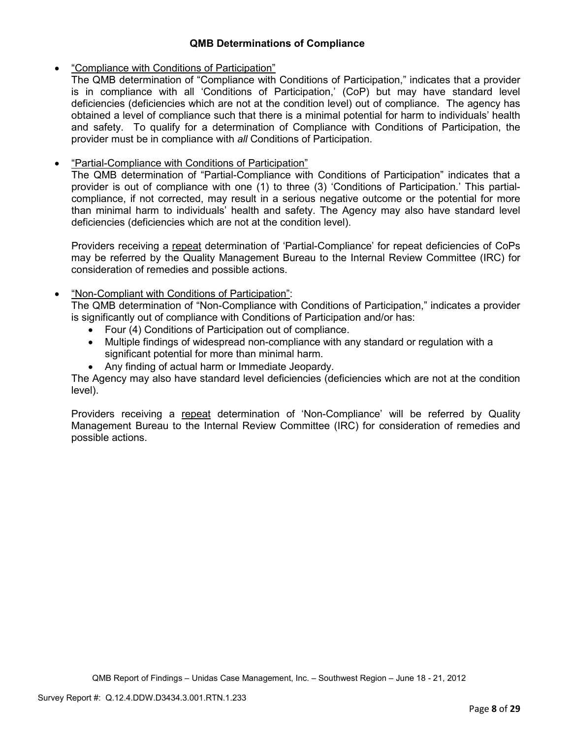## **QMB Determinations of Compliance**

## • "Compliance with Conditions of Participation"

The QMB determination of "Compliance with Conditions of Participation," indicates that a provider is in compliance with all 'Conditions of Participation,' (CoP) but may have standard level deficiencies (deficiencies which are not at the condition level) out of compliance. The agency has obtained a level of compliance such that there is a minimal potential for harm to individuals' health and safety. To qualify for a determination of Compliance with Conditions of Participation, the provider must be in compliance with *all* Conditions of Participation.

## • "Partial-Compliance with Conditions of Participation"

The QMB determination of "Partial-Compliance with Conditions of Participation" indicates that a provider is out of compliance with one (1) to three (3) 'Conditions of Participation.' This partialcompliance, if not corrected, may result in a serious negative outcome or the potential for more than minimal harm to individuals' health and safety. The Agency may also have standard level deficiencies (deficiencies which are not at the condition level).

Providers receiving a repeat determination of 'Partial-Compliance' for repeat deficiencies of CoPs may be referred by the Quality Management Bureau to the Internal Review Committee (IRC) for consideration of remedies and possible actions.

## • "Non-Compliant with Conditions of Participation":

The QMB determination of "Non-Compliance with Conditions of Participation," indicates a provider is significantly out of compliance with Conditions of Participation and/or has:

- Four (4) Conditions of Participation out of compliance.
- Multiple findings of widespread non-compliance with any standard or regulation with a significant potential for more than minimal harm.
- Any finding of actual harm or Immediate Jeopardy.

The Agency may also have standard level deficiencies (deficiencies which are not at the condition level).

Providers receiving a repeat determination of 'Non-Compliance' will be referred by Quality Management Bureau to the Internal Review Committee (IRC) for consideration of remedies and possible actions.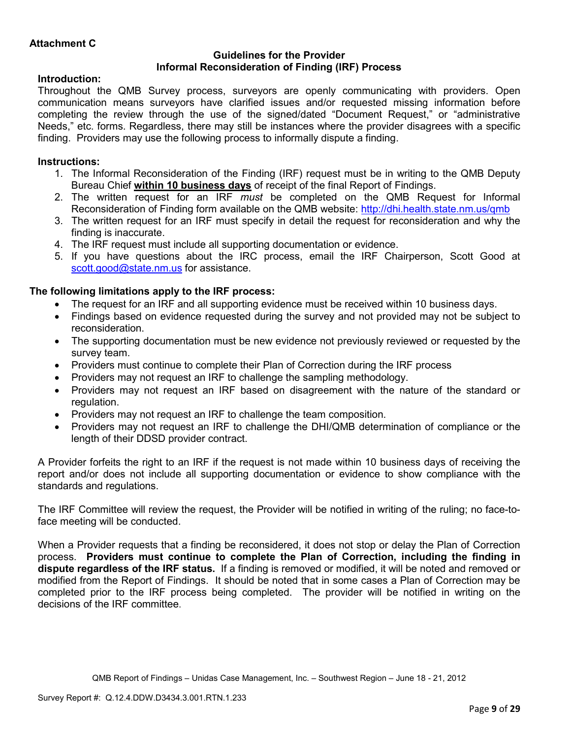## **Guidelines for the Provider Informal Reconsideration of Finding (IRF) Process**

# **Introduction:**

Throughout the QMB Survey process, surveyors are openly communicating with providers. Open communication means surveyors have clarified issues and/or requested missing information before completing the review through the use of the signed/dated "Document Request," or "administrative Needs," etc. forms. Regardless, there may still be instances where the provider disagrees with a specific finding. Providers may use the following process to informally dispute a finding.

# **Instructions:**

- 1. The Informal Reconsideration of the Finding (IRF) request must be in writing to the QMB Deputy Bureau Chief **within 10 business days** of receipt of the final Report of Findings.
- 2. The written request for an IRF *must* be completed on the QMB Request for Informal Reconsideration of Finding form available on the QMB website: http://dhi.health.state.nm.us/qmb
- 3. The written request for an IRF must specify in detail the request for reconsideration and why the finding is inaccurate.
- 4. The IRF request must include all supporting documentation or evidence.
- 5. If you have questions about the IRC process, email the IRF Chairperson, Scott Good at scott.good@state.nm.us for assistance.

# **The following limitations apply to the IRF process:**

- The request for an IRF and all supporting evidence must be received within 10 business days.
- Findings based on evidence requested during the survey and not provided may not be subject to reconsideration.
- The supporting documentation must be new evidence not previously reviewed or requested by the survey team.
- Providers must continue to complete their Plan of Correction during the IRF process
- Providers may not request an IRF to challenge the sampling methodology.
- Providers may not request an IRF based on disagreement with the nature of the standard or regulation.
- Providers may not request an IRF to challenge the team composition.
- Providers may not request an IRF to challenge the DHI/QMB determination of compliance or the length of their DDSD provider contract.

A Provider forfeits the right to an IRF if the request is not made within 10 business days of receiving the report and/or does not include all supporting documentation or evidence to show compliance with the standards and regulations.

The IRF Committee will review the request, the Provider will be notified in writing of the ruling; no face-toface meeting will be conducted.

When a Provider requests that a finding be reconsidered, it does not stop or delay the Plan of Correction process. **Providers must continue to complete the Plan of Correction, including the finding in dispute regardless of the IRF status.** If a finding is removed or modified, it will be noted and removed or modified from the Report of Findings. It should be noted that in some cases a Plan of Correction may be completed prior to the IRF process being completed. The provider will be notified in writing on the decisions of the IRF committee.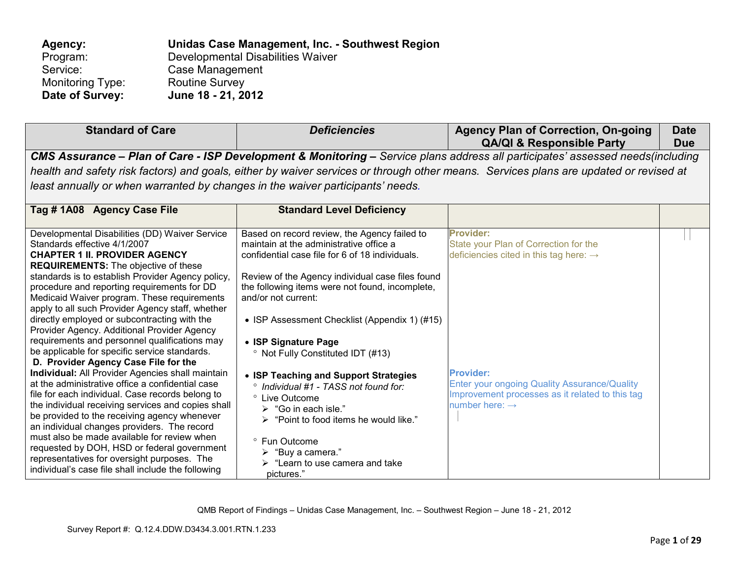| Agency:                 | Unidas Case Management, Inc. - Southwest Region |
|-------------------------|-------------------------------------------------|
| Program:                | Developmental Disabilities Waiver               |
| Service:                | Case Management                                 |
| <b>Monitoring Type:</b> | <b>Routine Survey</b>                           |
| Date of Survey:         | June 18 - 21, 2012                              |

| <b>Standard of Care</b>                                                                                                                                                                                                                                                                                                                                                                                                                                                                                                                                                                                                                                                                                                                                                                                                                                                                                                                                                                                                                                                                                                                   | <b>Deficiencies</b>                                                                                                                                                                                                                                                                                                                                                                                                                                                                                                                                                                                                                                                                                       | <b>Agency Plan of Correction, On-going</b><br><b>QA/QI &amp; Responsible Party</b>                                                                                                                                                                                          | <b>Date</b><br><b>Due</b> |
|-------------------------------------------------------------------------------------------------------------------------------------------------------------------------------------------------------------------------------------------------------------------------------------------------------------------------------------------------------------------------------------------------------------------------------------------------------------------------------------------------------------------------------------------------------------------------------------------------------------------------------------------------------------------------------------------------------------------------------------------------------------------------------------------------------------------------------------------------------------------------------------------------------------------------------------------------------------------------------------------------------------------------------------------------------------------------------------------------------------------------------------------|-----------------------------------------------------------------------------------------------------------------------------------------------------------------------------------------------------------------------------------------------------------------------------------------------------------------------------------------------------------------------------------------------------------------------------------------------------------------------------------------------------------------------------------------------------------------------------------------------------------------------------------------------------------------------------------------------------------|-----------------------------------------------------------------------------------------------------------------------------------------------------------------------------------------------------------------------------------------------------------------------------|---------------------------|
|                                                                                                                                                                                                                                                                                                                                                                                                                                                                                                                                                                                                                                                                                                                                                                                                                                                                                                                                                                                                                                                                                                                                           |                                                                                                                                                                                                                                                                                                                                                                                                                                                                                                                                                                                                                                                                                                           | CMS Assurance - Plan of Care - ISP Development & Monitoring - Service plans address all participates' assessed needs(including                                                                                                                                              |                           |
|                                                                                                                                                                                                                                                                                                                                                                                                                                                                                                                                                                                                                                                                                                                                                                                                                                                                                                                                                                                                                                                                                                                                           |                                                                                                                                                                                                                                                                                                                                                                                                                                                                                                                                                                                                                                                                                                           | health and safety risk factors) and goals, either by waiver services or through other means. Services plans are updated or revised at                                                                                                                                       |                           |
| least annually or when warranted by changes in the waiver participants' needs.                                                                                                                                                                                                                                                                                                                                                                                                                                                                                                                                                                                                                                                                                                                                                                                                                                                                                                                                                                                                                                                            |                                                                                                                                                                                                                                                                                                                                                                                                                                                                                                                                                                                                                                                                                                           |                                                                                                                                                                                                                                                                             |                           |
| Tag #1A08 Agency Case File                                                                                                                                                                                                                                                                                                                                                                                                                                                                                                                                                                                                                                                                                                                                                                                                                                                                                                                                                                                                                                                                                                                | <b>Standard Level Deficiency</b>                                                                                                                                                                                                                                                                                                                                                                                                                                                                                                                                                                                                                                                                          |                                                                                                                                                                                                                                                                             |                           |
| Developmental Disabilities (DD) Waiver Service<br>Standards effective 4/1/2007<br><b>CHAPTER 1 II. PROVIDER AGENCY</b><br><b>REQUIREMENTS:</b> The objective of these<br>standards is to establish Provider Agency policy,<br>procedure and reporting requirements for DD<br>Medicaid Waiver program. These requirements<br>apply to all such Provider Agency staff, whether<br>directly employed or subcontracting with the<br>Provider Agency. Additional Provider Agency<br>requirements and personnel qualifications may<br>be applicable for specific service standards.<br>D. Provider Agency Case File for the<br>Individual: All Provider Agencies shall maintain<br>at the administrative office a confidential case<br>file for each individual. Case records belong to<br>the individual receiving services and copies shall<br>be provided to the receiving agency whenever<br>an individual changes providers. The record<br>must also be made available for review when<br>requested by DOH, HSD or federal government<br>representatives for oversight purposes. The<br>individual's case file shall include the following | Based on record review, the Agency failed to<br>maintain at the administrative office a<br>confidential case file for 6 of 18 individuals.<br>Review of the Agency individual case files found<br>the following items were not found, incomplete,<br>and/or not current:<br>• ISP Assessment Checklist (Appendix 1) (#15)<br>• ISP Signature Page<br><sup>o</sup> Not Fully Constituted IDT (#13)<br>• ISP Teaching and Support Strategies<br>° Individual #1 - TASS not found for:<br>° Live Outcome<br>$\triangleright$ "Go in each isle."<br>"Point to food items he would like."<br>° Fun Outcome<br>$\triangleright$ "Buy a camera."<br>$\triangleright$ "Learn to use camera and take<br>pictures." | <b>Provider:</b><br>State your Plan of Correction for the<br>deficiencies cited in this tag here: $\rightarrow$<br><b>Provider:</b><br><b>Enter your ongoing Quality Assurance/Quality</b><br>Improvement processes as it related to this tag<br>number here: $\rightarrow$ |                           |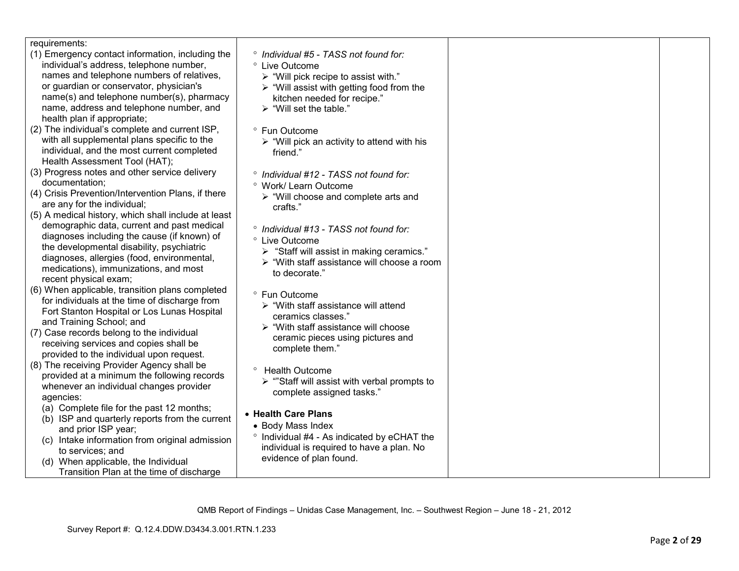| requirements:                                       |                                                                                         |  |
|-----------------------------------------------------|-----------------------------------------------------------------------------------------|--|
| (1) Emergency contact information, including the    | ° Individual #5 - TASS not found for:                                                   |  |
| individual's address, telephone number,             | ° Live Outcome                                                                          |  |
| names and telephone numbers of relatives,           | $\triangleright$ "Will pick recipe to assist with."                                     |  |
| or guardian or conservator, physician's             |                                                                                         |  |
| name(s) and telephone number(s), pharmacy           | $\triangleright$ "Will assist with getting food from the<br>kitchen needed for recipe." |  |
| name, address and telephone number, and             | $\triangleright$ "Will set the table."                                                  |  |
| health plan if appropriate;                         |                                                                                         |  |
| (2) The individual's complete and current ISP,      |                                                                                         |  |
|                                                     | ° Fun Outcome                                                                           |  |
| with all supplemental plans specific to the         | $\triangleright$ "Will pick an activity to attend with his                              |  |
| individual, and the most current completed          | friend."                                                                                |  |
| Health Assessment Tool (HAT);                       |                                                                                         |  |
| (3) Progress notes and other service delivery       | ° Individual #12 - TASS not found for:                                                  |  |
| documentation;                                      | <sup>o</sup> Work/ Learn Outcome                                                        |  |
| (4) Crisis Prevention/Intervention Plans, if there  | $\triangleright$ "Will choose and complete arts and                                     |  |
| are any for the individual;                         | crafts."                                                                                |  |
| (5) A medical history, which shall include at least |                                                                                         |  |
| demographic data, current and past medical          | ° Individual #13 - TASS not found for:                                                  |  |
| diagnoses including the cause (if known) of         | ° Live Outcome                                                                          |  |
| the developmental disability, psychiatric           | > "Staff will assist in making ceramics."                                               |  |
| diagnoses, allergies (food, environmental,          | > "With staff assistance will choose a room                                             |  |
| medications), immunizations, and most               | to decorate."                                                                           |  |
| recent physical exam;                               |                                                                                         |  |
| (6) When applicable, transition plans completed     | ° Fun Outcome                                                                           |  |
| for individuals at the time of discharge from       | $\triangleright$ "With staff assistance will attend                                     |  |
| Fort Stanton Hospital or Los Lunas Hospital         | ceramics classes."                                                                      |  |
| and Training School; and                            | $\triangleright$ "With staff assistance will choose                                     |  |
| (7) Case records belong to the individual           | ceramic pieces using pictures and                                                       |  |
| receiving services and copies shall be              | complete them."                                                                         |  |
| provided to the individual upon request.            |                                                                                         |  |
| (8) The receiving Provider Agency shall be          | <sup>o</sup> Health Outcome                                                             |  |
| provided at a minimum the following records         | $\triangleright$ "Staff will assist with verbal prompts to                              |  |
| whenever an individual changes provider             | complete assigned tasks."                                                               |  |
| agencies:                                           |                                                                                         |  |
| (a) Complete file for the past 12 months;           | • Health Care Plans                                                                     |  |
| (b) ISP and quarterly reports from the current      | • Body Mass Index                                                                       |  |
| and prior ISP year;                                 | ° Individual #4 - As indicated by eCHAT the                                             |  |
| (c) Intake information from original admission      | individual is required to have a plan. No                                               |  |
| to services; and                                    | evidence of plan found.                                                                 |  |
| (d) When applicable, the Individual                 |                                                                                         |  |
| Transition Plan at the time of discharge            |                                                                                         |  |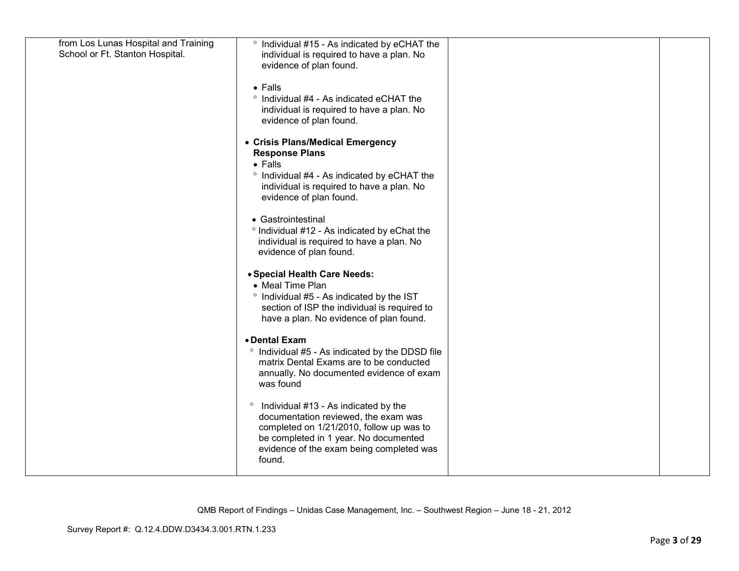| from Los Lunas Hospital and Training<br>School or Ft. Stanton Hospital. | ° Individual #15 - As indicated by eCHAT the<br>individual is required to have a plan. No<br>evidence of plan found.                                                                                                               |  |
|-------------------------------------------------------------------------|------------------------------------------------------------------------------------------------------------------------------------------------------------------------------------------------------------------------------------|--|
|                                                                         | $\bullet$ Falls<br>° Individual #4 - As indicated eCHAT the<br>individual is required to have a plan. No<br>evidence of plan found.                                                                                                |  |
|                                                                         | • Crisis Plans/Medical Emergency<br><b>Response Plans</b><br>$\bullet$ Falls<br>° Individual #4 - As indicated by eCHAT the<br>individual is required to have a plan. No<br>evidence of plan found.                                |  |
|                                                                         | • Gastrointestinal<br>° Individual #12 - As indicated by eChat the<br>individual is required to have a plan. No<br>evidence of plan found.                                                                                         |  |
|                                                                         | • Special Health Care Needs:<br>• Meal Time Plan<br>° Individual #5 - As indicated by the IST<br>section of ISP the individual is required to<br>have a plan. No evidence of plan found.                                           |  |
|                                                                         | • Dental Exam<br>° Individual #5 - As indicated by the DDSD file<br>matrix Dental Exams are to be conducted<br>annually. No documented evidence of exam<br>was found                                                               |  |
|                                                                         | Individual #13 - As indicated by the<br>$\circ$<br>documentation reviewed, the exam was<br>completed on 1/21/2010, follow up was to<br>be completed in 1 year. No documented<br>evidence of the exam being completed was<br>found. |  |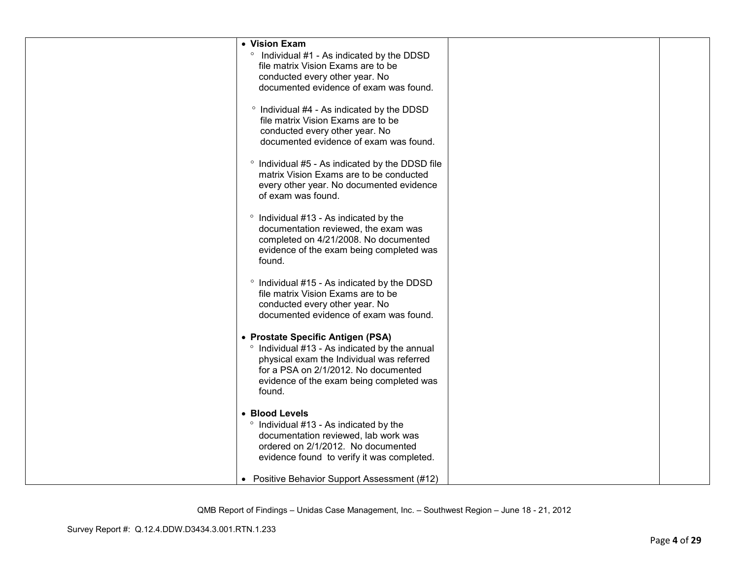| • Vision Exam                                          |  |
|--------------------------------------------------------|--|
| $\circ$                                                |  |
| Individual #1 - As indicated by the DDSD               |  |
| file matrix Vision Exams are to be                     |  |
| conducted every other year. No                         |  |
| documented evidence of exam was found.                 |  |
|                                                        |  |
| ° Individual #4 - As indicated by the DDSD             |  |
| file matrix Vision Exams are to be                     |  |
| conducted every other year. No                         |  |
| documented evidence of exam was found.                 |  |
|                                                        |  |
| ° Individual #5 - As indicated by the DDSD file        |  |
| matrix Vision Exams are to be conducted                |  |
| every other year. No documented evidence               |  |
| of exam was found.                                     |  |
|                                                        |  |
| ° Individual #13 - As indicated by the                 |  |
| documentation reviewed, the exam was                   |  |
| completed on 4/21/2008. No documented                  |  |
| evidence of the exam being completed was               |  |
| found.                                                 |  |
|                                                        |  |
| <sup>o</sup> Individual #15 - As indicated by the DDSD |  |
| file matrix Vision Exams are to be                     |  |
| conducted every other year. No                         |  |
| documented evidence of exam was found.                 |  |
|                                                        |  |
| • Prostate Specific Antigen (PSA)                      |  |
|                                                        |  |
| ° Individual #13 - As indicated by the annual          |  |
| physical exam the Individual was referred              |  |
| for a PSA on 2/1/2012. No documented                   |  |
| evidence of the exam being completed was               |  |
| found.                                                 |  |
|                                                        |  |
| • Blood Levels                                         |  |
| ° Individual #13 - As indicated by the                 |  |
| documentation reviewed, lab work was                   |  |
| ordered on 2/1/2012. No documented                     |  |
| evidence found to verify it was completed.             |  |
|                                                        |  |
| • Positive Behavior Support Assessment (#12)           |  |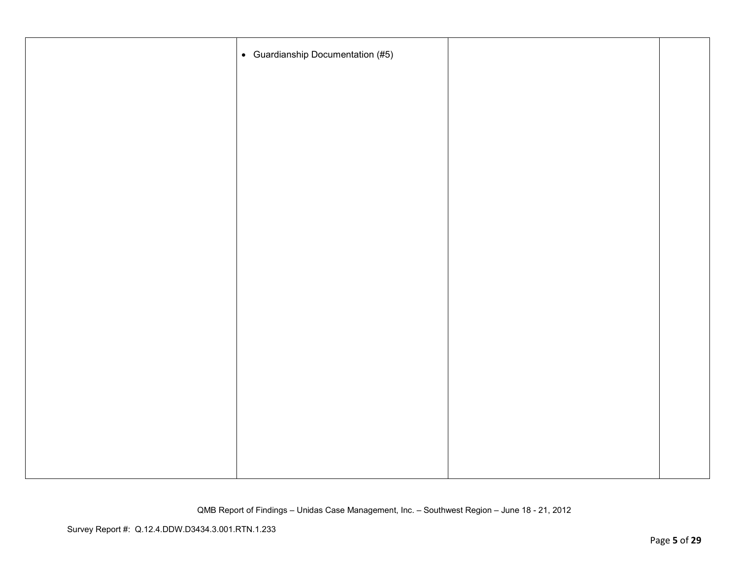| • Guardianship Documentation (#5) |  |
|-----------------------------------|--|
|                                   |  |
|                                   |  |
|                                   |  |
|                                   |  |
|                                   |  |
|                                   |  |
|                                   |  |
|                                   |  |
|                                   |  |
|                                   |  |
|                                   |  |
|                                   |  |
|                                   |  |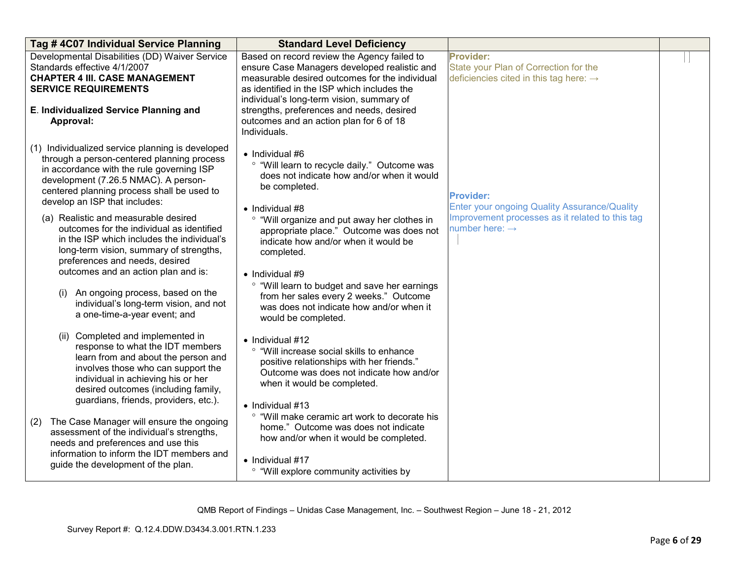| Tag #4C07 Individual Service Planning                                                                                                                                                                                                                                       | <b>Standard Level Deficiency</b>                                                                                                                                                                                                                                                                                                                  |                                                                                                                 |  |
|-----------------------------------------------------------------------------------------------------------------------------------------------------------------------------------------------------------------------------------------------------------------------------|---------------------------------------------------------------------------------------------------------------------------------------------------------------------------------------------------------------------------------------------------------------------------------------------------------------------------------------------------|-----------------------------------------------------------------------------------------------------------------|--|
| Developmental Disabilities (DD) Waiver Service<br>Standards effective 4/1/2007<br><b>CHAPTER 4 III. CASE MANAGEMENT</b><br><b>SERVICE REQUIREMENTS</b><br>E. Individualized Service Planning and<br>Approval:                                                               | Based on record review the Agency failed to<br>ensure Case Managers developed realistic and<br>measurable desired outcomes for the individual<br>as identified in the ISP which includes the<br>individual's long-term vision, summary of<br>strengths, preferences and needs, desired<br>outcomes and an action plan for 6 of 18<br>Individuals. | <b>Provider:</b><br>State your Plan of Correction for the<br>deficiencies cited in this tag here: $\rightarrow$ |  |
| (1) Individualized service planning is developed<br>through a person-centered planning process<br>in accordance with the rule governing ISP<br>development (7.26.5 NMAC). A person-<br>centered planning process shall be used to<br>develop an ISP that includes:          | $\bullet$ Individual #6<br>° "Will learn to recycle daily." Outcome was<br>does not indicate how and/or when it would<br>be completed.<br>$\bullet$ Individual #8                                                                                                                                                                                 | <b>Provider:</b><br><b>Enter your ongoing Quality Assurance/Quality</b>                                         |  |
| (a) Realistic and measurable desired<br>outcomes for the individual as identified<br>in the ISP which includes the individual's<br>long-term vision, summary of strengths,<br>preferences and needs, desired<br>outcomes and an action plan and is:                         | "Will organize and put away her clothes in<br>appropriate place." Outcome was does not<br>indicate how and/or when it would be<br>completed.<br>• Individual #9                                                                                                                                                                                   | Improvement processes as it related to this tag<br>number here: $\rightarrow$                                   |  |
| An ongoing process, based on the<br>(i)<br>individual's long-term vision, and not<br>a one-time-a-year event; and                                                                                                                                                           | ° "Will learn to budget and save her earnings<br>from her sales every 2 weeks." Outcome<br>was does not indicate how and/or when it<br>would be completed.                                                                                                                                                                                        |                                                                                                                 |  |
| Completed and implemented in<br>(ii)<br>response to what the IDT members<br>learn from and about the person and<br>involves those who can support the<br>individual in achieving his or her<br>desired outcomes (including family,<br>guardians, friends, providers, etc.). | $\bullet$ Individual #12<br>° "Will increase social skills to enhance<br>positive relationships with her friends."<br>Outcome was does not indicate how and/or<br>when it would be completed.<br>$\bullet$ Individual #13                                                                                                                         |                                                                                                                 |  |
| The Case Manager will ensure the ongoing<br>(2)<br>assessment of the individual's strengths,<br>needs and preferences and use this<br>information to inform the IDT members and<br>guide the development of the plan.                                                       | ° "Will make ceramic art work to decorate his<br>home." Outcome was does not indicate<br>how and/or when it would be completed.<br>• Individual #17<br><sup>o</sup> "Will explore community activities by                                                                                                                                         |                                                                                                                 |  |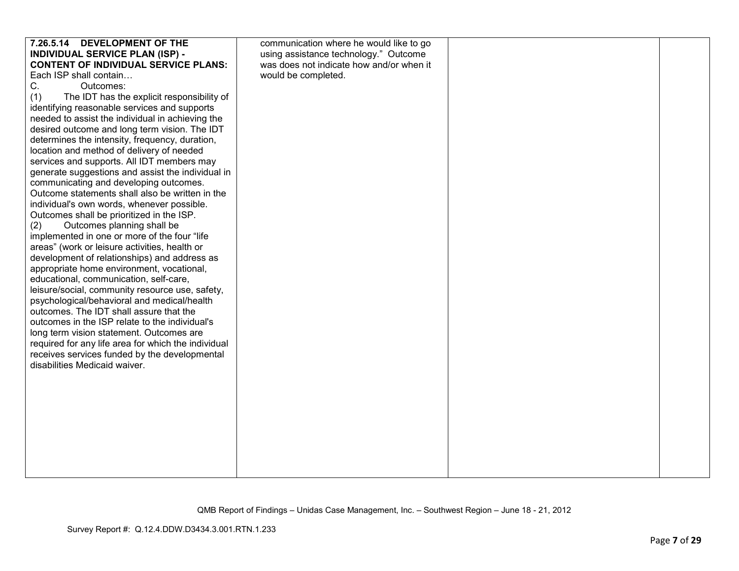| 7.26.5.14 DEVELOPMENT OF THE                                                           | communication where he would like to go  |  |
|----------------------------------------------------------------------------------------|------------------------------------------|--|
| <b>INDIVIDUAL SERVICE PLAN (ISP) -</b>                                                 | using assistance technology." Outcome    |  |
| <b>CONTENT OF INDIVIDUAL SERVICE PLANS:</b>                                            | was does not indicate how and/or when it |  |
| Each ISP shall contain                                                                 | would be completed.                      |  |
| C.<br>Outcomes:                                                                        |                                          |  |
| The IDT has the explicit responsibility of<br>(1)                                      |                                          |  |
| identifying reasonable services and supports                                           |                                          |  |
| needed to assist the individual in achieving the                                       |                                          |  |
| desired outcome and long term vision. The IDT                                          |                                          |  |
| determines the intensity, frequency, duration,                                         |                                          |  |
| location and method of delivery of needed                                              |                                          |  |
| services and supports. All IDT members may                                             |                                          |  |
| generate suggestions and assist the individual in                                      |                                          |  |
| communicating and developing outcomes.                                                 |                                          |  |
| Outcome statements shall also be written in the                                        |                                          |  |
| individual's own words, whenever possible.                                             |                                          |  |
| Outcomes shall be prioritized in the ISP.                                              |                                          |  |
| Outcomes planning shall be<br>(2)                                                      |                                          |  |
| implemented in one or more of the four "life                                           |                                          |  |
| areas" (work or leisure activities, health or                                          |                                          |  |
| development of relationships) and address as                                           |                                          |  |
| appropriate home environment, vocational,                                              |                                          |  |
| educational, communication, self-care,                                                 |                                          |  |
| leisure/social, community resource use, safety,                                        |                                          |  |
| psychological/behavioral and medical/health<br>outcomes. The IDT shall assure that the |                                          |  |
| outcomes in the ISP relate to the individual's                                         |                                          |  |
| long term vision statement. Outcomes are                                               |                                          |  |
| required for any life area for which the individual                                    |                                          |  |
| receives services funded by the developmental                                          |                                          |  |
| disabilities Medicaid waiver.                                                          |                                          |  |
|                                                                                        |                                          |  |
|                                                                                        |                                          |  |
|                                                                                        |                                          |  |
|                                                                                        |                                          |  |
|                                                                                        |                                          |  |
|                                                                                        |                                          |  |
|                                                                                        |                                          |  |
|                                                                                        |                                          |  |
|                                                                                        |                                          |  |
|                                                                                        |                                          |  |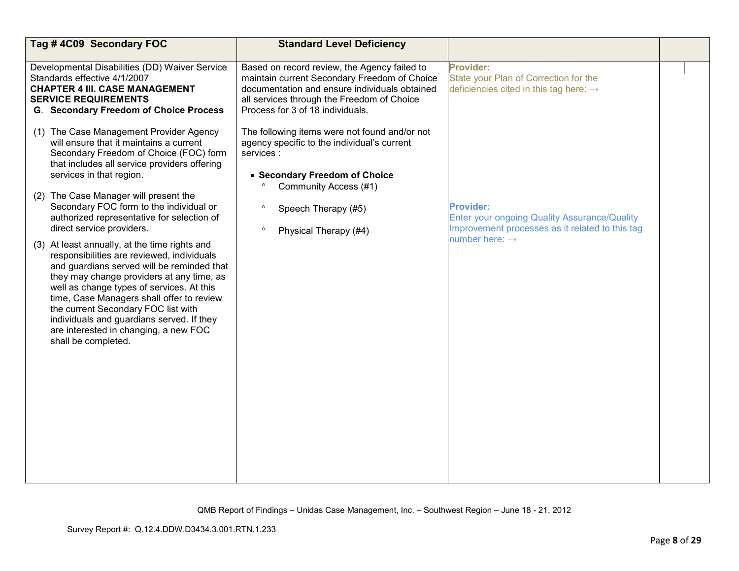| Tag #4C09 Secondary FOC                                                                                                                                                                                                                                                                                                                                                                                                              | <b>Standard Level Deficiency</b>                                                                                                                                                                                                |                                                                                                                                                   |  |
|--------------------------------------------------------------------------------------------------------------------------------------------------------------------------------------------------------------------------------------------------------------------------------------------------------------------------------------------------------------------------------------------------------------------------------------|---------------------------------------------------------------------------------------------------------------------------------------------------------------------------------------------------------------------------------|---------------------------------------------------------------------------------------------------------------------------------------------------|--|
| Developmental Disabilities (DD) Waiver Service<br>Standards effective 4/1/2007<br><b>CHAPTER 4 III. CASE MANAGEMENT</b><br><b>SERVICE REQUIREMENTS</b><br><b>G. Secondary Freedom of Choice Process</b>                                                                                                                                                                                                                              | Based on record review, the Agency failed to<br>maintain current Secondary Freedom of Choice<br>documentation and ensure individuals obtained<br>all services through the Freedom of Choice<br>Process for 3 of 18 individuals. | <b>Provider:</b><br>State your Plan of Correction for the<br>deficiencies cited in this tag here: $\rightarrow$                                   |  |
| (1) The Case Management Provider Agency<br>will ensure that it maintains a current<br>Secondary Freedom of Choice (FOC) form<br>that includes all service providers offering<br>services in that region.                                                                                                                                                                                                                             | The following items were not found and/or not<br>agency specific to the individual's current<br>services :<br>• Secondary Freedom of Choice                                                                                     |                                                                                                                                                   |  |
| (2) The Case Manager will present the<br>Secondary FOC form to the individual or<br>authorized representative for selection of<br>direct service providers.                                                                                                                                                                                                                                                                          | Community Access (#1)<br>Speech Therapy (#5)<br>$\circ$<br>$\circ$<br>Physical Therapy (#4)                                                                                                                                     | <b>Provider:</b><br>Enter your ongoing Quality Assurance/Quality<br>Improvement processes as it related to this tag<br>number here: $\rightarrow$ |  |
| (3) At least annually, at the time rights and<br>responsibilities are reviewed, individuals<br>and guardians served will be reminded that<br>they may change providers at any time, as<br>well as change types of services. At this<br>time, Case Managers shall offer to review<br>the current Secondary FOC list with<br>individuals and guardians served. If they<br>are interested in changing, a new FOC<br>shall be completed. |                                                                                                                                                                                                                                 |                                                                                                                                                   |  |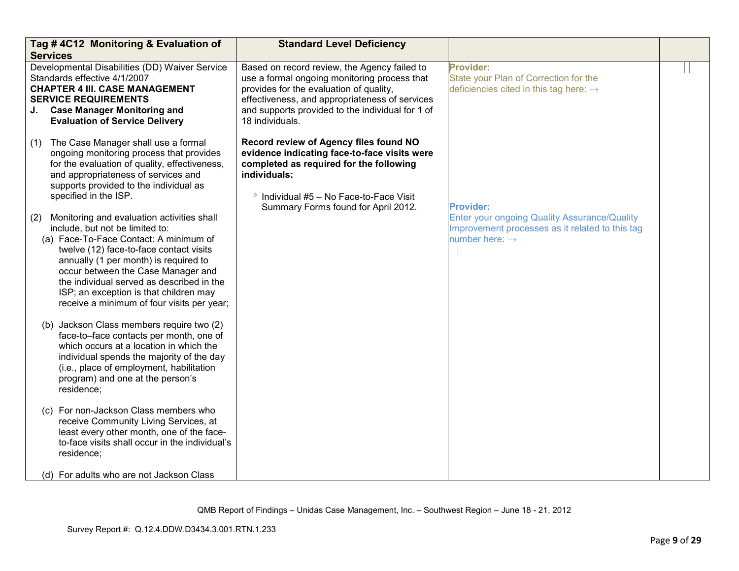| Tag #4C12 Monitoring & Evaluation of<br><b>Services</b>                                                                                                                                                                                                                                                                                                                                       | <b>Standard Level Deficiency</b>                                                                                                                                                                                                                                 |                                                                                                                               |  |
|-----------------------------------------------------------------------------------------------------------------------------------------------------------------------------------------------------------------------------------------------------------------------------------------------------------------------------------------------------------------------------------------------|------------------------------------------------------------------------------------------------------------------------------------------------------------------------------------------------------------------------------------------------------------------|-------------------------------------------------------------------------------------------------------------------------------|--|
| Developmental Disabilities (DD) Waiver Service<br>Standards effective 4/1/2007<br><b>CHAPTER 4 III. CASE MANAGEMENT</b><br><b>SERVICE REQUIREMENTS</b><br><b>Case Manager Monitoring and</b><br><b>Evaluation of Service Delivery</b>                                                                                                                                                         | Based on record review, the Agency failed to<br>use a formal ongoing monitoring process that<br>provides for the evaluation of quality,<br>effectiveness, and appropriateness of services<br>and supports provided to the individual for 1 of<br>18 individuals. | <b>Provider:</b><br>State your Plan of Correction for the<br>deficiencies cited in this tag here: $\rightarrow$               |  |
| The Case Manager shall use a formal<br>(1)<br>ongoing monitoring process that provides<br>for the evaluation of quality, effectiveness,<br>and appropriateness of services and<br>supports provided to the individual as<br>specified in the ISP.                                                                                                                                             | Record review of Agency files found NO<br>evidence indicating face-to-face visits were<br>completed as required for the following<br>individuals:<br>° Individual #5 - No Face-to-Face Visit<br>Summary Forms found for April 2012.                              | <b>Provider:</b>                                                                                                              |  |
| Monitoring and evaluation activities shall<br>(2)<br>include, but not be limited to:<br>(a) Face-To-Face Contact: A minimum of<br>twelve (12) face-to-face contact visits<br>annually (1 per month) is required to<br>occur between the Case Manager and<br>the individual served as described in the<br>ISP; an exception is that children may<br>receive a minimum of four visits per year; |                                                                                                                                                                                                                                                                  | Enter your ongoing Quality Assurance/Quality<br>Improvement processes as it related to this tag<br>number here: $\rightarrow$ |  |
| (b) Jackson Class members require two (2)<br>face-to-face contacts per month, one of<br>which occurs at a location in which the<br>individual spends the majority of the day<br>(i.e., place of employment, habilitation<br>program) and one at the person's<br>residence;                                                                                                                    |                                                                                                                                                                                                                                                                  |                                                                                                                               |  |
| (c) For non-Jackson Class members who<br>receive Community Living Services, at<br>least every other month, one of the face-<br>to-face visits shall occur in the individual's<br>residence;                                                                                                                                                                                                   |                                                                                                                                                                                                                                                                  |                                                                                                                               |  |
| (d) For adults who are not Jackson Class                                                                                                                                                                                                                                                                                                                                                      |                                                                                                                                                                                                                                                                  |                                                                                                                               |  |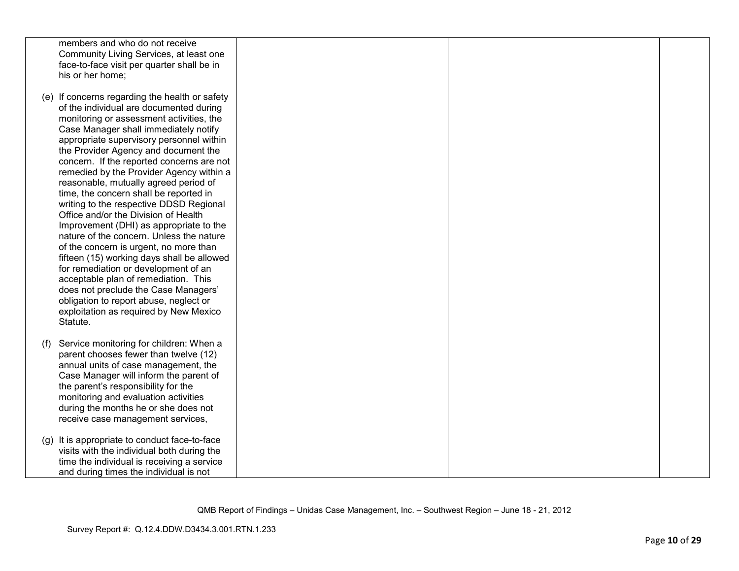|     | members and who do not receive<br>Community Living Services, at least one           |  |  |
|-----|-------------------------------------------------------------------------------------|--|--|
|     | face-to-face visit per quarter shall be in<br>his or her home;                      |  |  |
|     |                                                                                     |  |  |
|     | (e) If concerns regarding the health or safety                                      |  |  |
|     | of the individual are documented during<br>monitoring or assessment activities, the |  |  |
|     | Case Manager shall immediately notify                                               |  |  |
|     | appropriate supervisory personnel within                                            |  |  |
|     | the Provider Agency and document the                                                |  |  |
|     | concern. If the reported concerns are not                                           |  |  |
|     | remedied by the Provider Agency within a                                            |  |  |
|     | reasonable, mutually agreed period of<br>time, the concern shall be reported in     |  |  |
|     | writing to the respective DDSD Regional                                             |  |  |
|     | Office and/or the Division of Health                                                |  |  |
|     | Improvement (DHI) as appropriate to the                                             |  |  |
|     | nature of the concern. Unless the nature                                            |  |  |
|     | of the concern is urgent, no more than                                              |  |  |
|     | fifteen (15) working days shall be allowed<br>for remediation or development of an  |  |  |
|     | acceptable plan of remediation. This                                                |  |  |
|     | does not preclude the Case Managers'                                                |  |  |
|     | obligation to report abuse, neglect or                                              |  |  |
|     | exploitation as required by New Mexico                                              |  |  |
|     | Statute.                                                                            |  |  |
| (f) | Service monitoring for children: When a                                             |  |  |
|     | parent chooses fewer than twelve (12)                                               |  |  |
|     | annual units of case management, the                                                |  |  |
|     | Case Manager will inform the parent of                                              |  |  |
|     | the parent's responsibility for the<br>monitoring and evaluation activities         |  |  |
|     | during the months he or she does not                                                |  |  |
|     | receive case management services,                                                   |  |  |
|     | (g) It is appropriate to conduct face-to-face                                       |  |  |
|     | visits with the individual both during the                                          |  |  |
|     | time the individual is receiving a service                                          |  |  |
|     | and during times the individual is not                                              |  |  |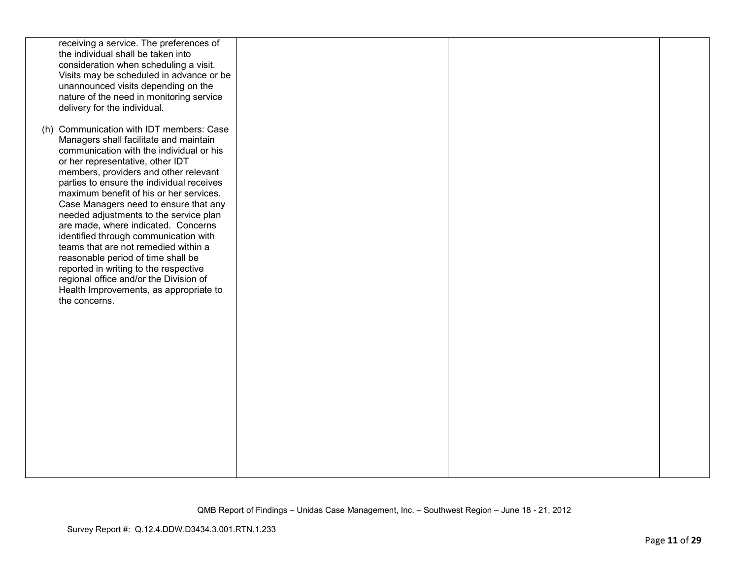| receiving a service. The preferences of<br>the individual shall be taken into<br>consideration when scheduling a visit.<br>Visits may be scheduled in advance or be<br>unannounced visits depending on the<br>nature of the need in monitoring service<br>delivery for the individual.                                                                                                                                                                                                                                                                                                                                                                                                             |  |  |
|----------------------------------------------------------------------------------------------------------------------------------------------------------------------------------------------------------------------------------------------------------------------------------------------------------------------------------------------------------------------------------------------------------------------------------------------------------------------------------------------------------------------------------------------------------------------------------------------------------------------------------------------------------------------------------------------------|--|--|
| (h) Communication with IDT members: Case<br>Managers shall facilitate and maintain<br>communication with the individual or his<br>or her representative, other IDT<br>members, providers and other relevant<br>parties to ensure the individual receives<br>maximum benefit of his or her services.<br>Case Managers need to ensure that any<br>needed adjustments to the service plan<br>are made, where indicated. Concerns<br>identified through communication with<br>teams that are not remedied within a<br>reasonable period of time shall be<br>reported in writing to the respective<br>regional office and/or the Division of<br>Health Improvements, as appropriate to<br>the concerns. |  |  |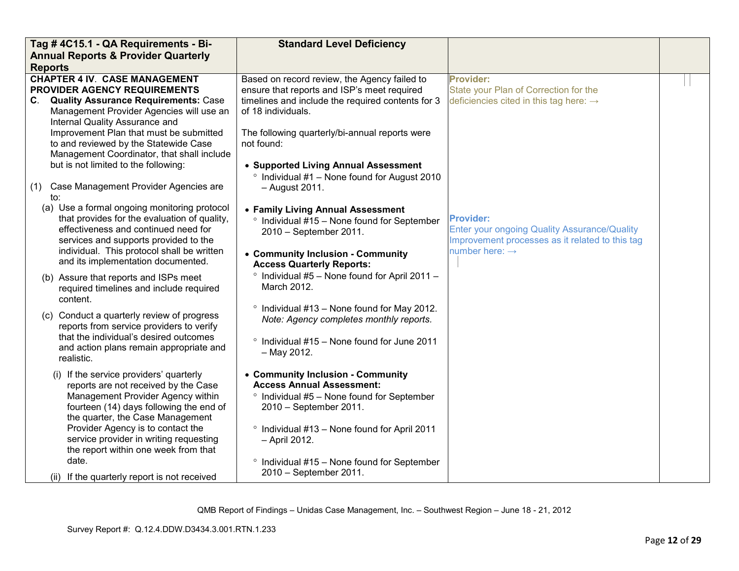| Tag #4C15.1 - QA Requirements - Bi-                                                                                                                                                                                                                                                                                                      | <b>Standard Level Deficiency</b>                                                                                                                                                                                                  |                                                                                                                                                   |  |
|------------------------------------------------------------------------------------------------------------------------------------------------------------------------------------------------------------------------------------------------------------------------------------------------------------------------------------------|-----------------------------------------------------------------------------------------------------------------------------------------------------------------------------------------------------------------------------------|---------------------------------------------------------------------------------------------------------------------------------------------------|--|
| <b>Annual Reports &amp; Provider Quarterly</b>                                                                                                                                                                                                                                                                                           |                                                                                                                                                                                                                                   |                                                                                                                                                   |  |
| <b>Reports</b>                                                                                                                                                                                                                                                                                                                           |                                                                                                                                                                                                                                   |                                                                                                                                                   |  |
| <b>CHAPTER 4 IV. CASE MANAGEMENT</b><br>PROVIDER AGENCY REQUIREMENTS<br>C. Quality Assurance Requirements: Case<br>Management Provider Agencies will use an<br>Internal Quality Assurance and                                                                                                                                            | Based on record review, the Agency failed to<br>ensure that reports and ISP's meet required<br>timelines and include the required contents for 3<br>of 18 individuals.                                                            | <b>Provider:</b><br>State your Plan of Correction for the<br>deficiencies cited in this tag here: $\rightarrow$                                   |  |
| Improvement Plan that must be submitted<br>to and reviewed by the Statewide Case<br>Management Coordinator, that shall include<br>but is not limited to the following:                                                                                                                                                                   | The following quarterly/bi-annual reports were<br>not found:<br>• Supported Living Annual Assessment                                                                                                                              |                                                                                                                                                   |  |
| Case Management Provider Agencies are<br>(1)<br>to:                                                                                                                                                                                                                                                                                      | <sup>o</sup> Individual #1 - None found for August 2010<br>- August 2011.                                                                                                                                                         |                                                                                                                                                   |  |
| (a) Use a formal ongoing monitoring protocol<br>that provides for the evaluation of quality,<br>effectiveness and continued need for<br>services and supports provided to the<br>individual. This protocol shall be written<br>and its implementation documented.                                                                        | • Family Living Annual Assessment<br>Individual #15 - None found for September<br>$\circ$<br>2010 - September 2011.<br>• Community Inclusion - Community                                                                          | <b>Provider:</b><br>Enter your ongoing Quality Assurance/Quality<br>Improvement processes as it related to this tag<br>number here: $\rightarrow$ |  |
| (b) Assure that reports and ISPs meet<br>required timelines and include required<br>content.                                                                                                                                                                                                                                             | <b>Access Quarterly Reports:</b><br><sup>o</sup> Individual #5 - None found for April 2011 -<br>March 2012.                                                                                                                       |                                                                                                                                                   |  |
| (c) Conduct a quarterly review of progress<br>reports from service providers to verify<br>that the individual's desired outcomes<br>and action plans remain appropriate and                                                                                                                                                              | ° Individual #13 - None found for May 2012.<br>Note: Agency completes monthly reports.<br>° Individual #15 - None found for June 2011<br>$-$ May 2012.                                                                            |                                                                                                                                                   |  |
| realistic.<br>(i) If the service providers' quarterly<br>reports are not received by the Case<br>Management Provider Agency within<br>fourteen (14) days following the end of<br>the quarter, the Case Management<br>Provider Agency is to contact the<br>service provider in writing requesting<br>the report within one week from that | • Community Inclusion - Community<br><b>Access Annual Assessment:</b><br>$\degree$ Individual #5 - None found for September<br>2010 - September 2011.<br><sup>o</sup> Individual #13 - None found for April 2011<br>- April 2012. |                                                                                                                                                   |  |
| date.<br>(ii) If the quarterly report is not received                                                                                                                                                                                                                                                                                    | $\degree$ Individual #15 – None found for September<br>2010 - September 2011.                                                                                                                                                     |                                                                                                                                                   |  |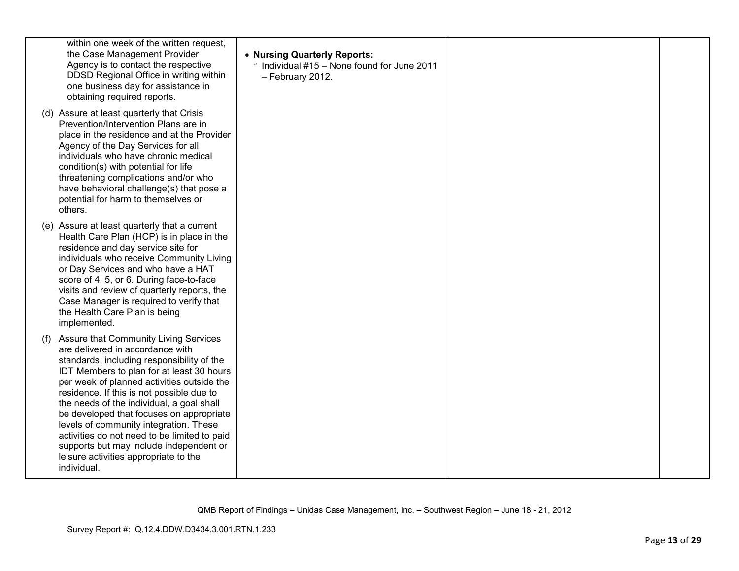| within one week of the written request,<br>the Case Management Provider<br>Agency is to contact the respective<br>DDSD Regional Office in writing within<br>one business day for assistance in<br>obtaining required reports.                                                                                                                                                                                                                                                                                                                                       | • Nursing Quarterly Reports:<br>° Individual #15 - None found for June 2011<br>- February 2012. |  |
|---------------------------------------------------------------------------------------------------------------------------------------------------------------------------------------------------------------------------------------------------------------------------------------------------------------------------------------------------------------------------------------------------------------------------------------------------------------------------------------------------------------------------------------------------------------------|-------------------------------------------------------------------------------------------------|--|
| (d) Assure at least quarterly that Crisis<br>Prevention/Intervention Plans are in<br>place in the residence and at the Provider<br>Agency of the Day Services for all<br>individuals who have chronic medical<br>condition(s) with potential for life<br>threatening complications and/or who<br>have behavioral challenge(s) that pose a<br>potential for harm to themselves or<br>others.                                                                                                                                                                         |                                                                                                 |  |
| (e) Assure at least quarterly that a current<br>Health Care Plan (HCP) is in place in the<br>residence and day service site for<br>individuals who receive Community Living<br>or Day Services and who have a HAT<br>score of 4, 5, or 6. During face-to-face<br>visits and review of quarterly reports, the<br>Case Manager is required to verify that<br>the Health Care Plan is being<br>implemented.                                                                                                                                                            |                                                                                                 |  |
| <b>Assure that Community Living Services</b><br>(f)<br>are delivered in accordance with<br>standards, including responsibility of the<br>IDT Members to plan for at least 30 hours<br>per week of planned activities outside the<br>residence. If this is not possible due to<br>the needs of the individual, a goal shall<br>be developed that focuses on appropriate<br>levels of community integration. These<br>activities do not need to be limited to paid<br>supports but may include independent or<br>leisure activities appropriate to the<br>individual. |                                                                                                 |  |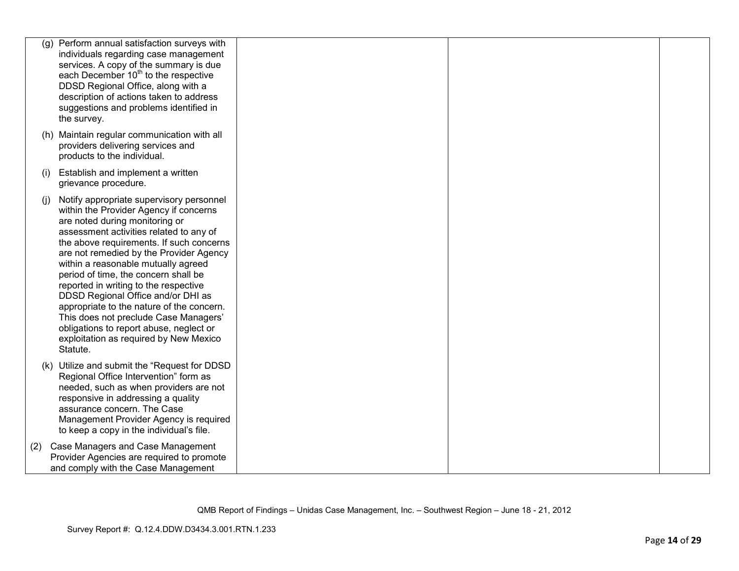|     | (g) Perform annual satisfaction surveys with<br>individuals regarding case management<br>services. A copy of the summary is due<br>each December 10 <sup>th</sup> to the respective<br>DDSD Regional Office, along with a<br>description of actions taken to address<br>suggestions and problems identified in<br>the survey.                                                                                                                                                                                                                                                                               |  |  |
|-----|-------------------------------------------------------------------------------------------------------------------------------------------------------------------------------------------------------------------------------------------------------------------------------------------------------------------------------------------------------------------------------------------------------------------------------------------------------------------------------------------------------------------------------------------------------------------------------------------------------------|--|--|
|     | (h) Maintain regular communication with all<br>providers delivering services and<br>products to the individual.                                                                                                                                                                                                                                                                                                                                                                                                                                                                                             |  |  |
| (i) | Establish and implement a written<br>grievance procedure.                                                                                                                                                                                                                                                                                                                                                                                                                                                                                                                                                   |  |  |
| (i) | Notify appropriate supervisory personnel<br>within the Provider Agency if concerns<br>are noted during monitoring or<br>assessment activities related to any of<br>the above requirements. If such concerns<br>are not remedied by the Provider Agency<br>within a reasonable mutually agreed<br>period of time, the concern shall be<br>reported in writing to the respective<br>DDSD Regional Office and/or DHI as<br>appropriate to the nature of the concern.<br>This does not preclude Case Managers'<br>obligations to report abuse, neglect or<br>exploitation as required by New Mexico<br>Statute. |  |  |
|     | (k) Utilize and submit the "Request for DDSD<br>Regional Office Intervention" form as<br>needed, such as when providers are not<br>responsive in addressing a quality<br>assurance concern. The Case<br>Management Provider Agency is required<br>to keep a copy in the individual's file.                                                                                                                                                                                                                                                                                                                  |  |  |
| (2) | Case Managers and Case Management<br>Provider Agencies are required to promote<br>and comply with the Case Management                                                                                                                                                                                                                                                                                                                                                                                                                                                                                       |  |  |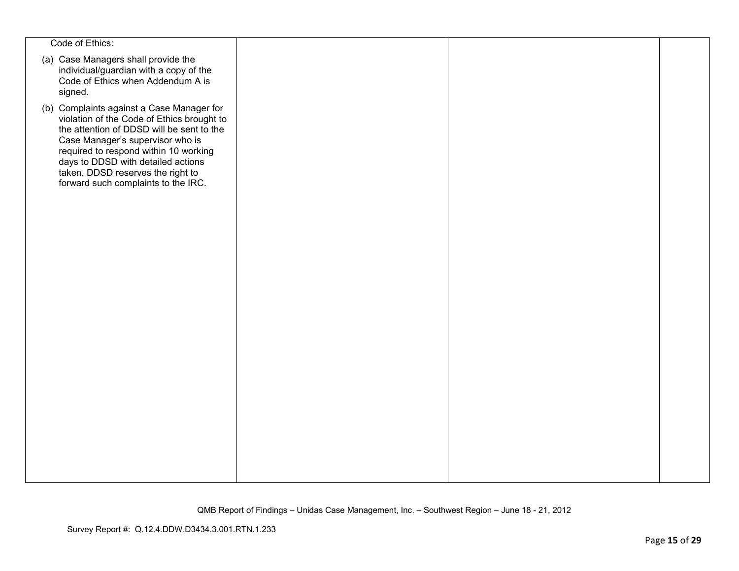| Code of Ethics:                                                                                                                                                                                                                                                                                                                     |  |  |
|-------------------------------------------------------------------------------------------------------------------------------------------------------------------------------------------------------------------------------------------------------------------------------------------------------------------------------------|--|--|
| (a) Case Managers shall provide the<br>individual/guardian with a copy of the<br>Code of Ethics when Addendum A is<br>signed.                                                                                                                                                                                                       |  |  |
| (b) Complaints against a Case Manager for<br>violation of the Code of Ethics brought to<br>the attention of DDSD will be sent to the<br>Case Manager's supervisor who is<br>required to respond within 10 working<br>days to DDSD with detailed actions<br>taken. DDSD reserves the right to<br>forward such complaints to the IRC. |  |  |
|                                                                                                                                                                                                                                                                                                                                     |  |  |
|                                                                                                                                                                                                                                                                                                                                     |  |  |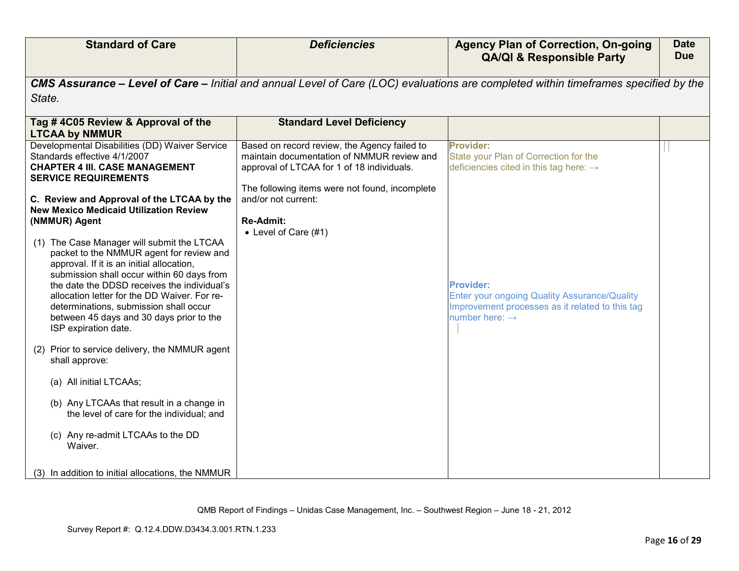| <b>Standard of Care</b>                                                                                                                                                                                                                                                                                                                                                                        | <b>Deficiencies</b>                                                                                                                      | <b>Agency Plan of Correction, On-going</b><br><b>QA/QI &amp; Responsible Party</b>                                                                       | <b>Date</b><br><b>Due</b> |
|------------------------------------------------------------------------------------------------------------------------------------------------------------------------------------------------------------------------------------------------------------------------------------------------------------------------------------------------------------------------------------------------|------------------------------------------------------------------------------------------------------------------------------------------|----------------------------------------------------------------------------------------------------------------------------------------------------------|---------------------------|
|                                                                                                                                                                                                                                                                                                                                                                                                |                                                                                                                                          | CMS Assurance – Level of Care – Initial and annual Level of Care (LOC) evaluations are completed within timeframes specified by the                      |                           |
| State.                                                                                                                                                                                                                                                                                                                                                                                         |                                                                                                                                          |                                                                                                                                                          |                           |
| Tag #4C05 Review & Approval of the<br><b>LTCAA by NMMUR</b>                                                                                                                                                                                                                                                                                                                                    | <b>Standard Level Deficiency</b>                                                                                                         |                                                                                                                                                          |                           |
| Developmental Disabilities (DD) Waiver Service<br>Standards effective 4/1/2007<br><b>CHAPTER 4 III. CASE MANAGEMENT</b><br><b>SERVICE REQUIREMENTS</b>                                                                                                                                                                                                                                         | Based on record review, the Agency failed to<br>maintain documentation of NMMUR review and<br>approval of LTCAA for 1 of 18 individuals. | <b>Provider:</b><br>State your Plan of Correction for the<br>deficiencies cited in this tag here: $\rightarrow$                                          |                           |
| C. Review and Approval of the LTCAA by the<br><b>New Mexico Medicaid Utilization Review</b><br>(NMMUR) Agent                                                                                                                                                                                                                                                                                   | The following items were not found, incomplete<br>and/or not current:<br><b>Re-Admit:</b><br>• Level of Care (#1)                        |                                                                                                                                                          |                           |
| (1) The Case Manager will submit the LTCAA<br>packet to the NMMUR agent for review and<br>approval. If it is an initial allocation,<br>submission shall occur within 60 days from<br>the date the DDSD receives the individual's<br>allocation letter for the DD Waiver. For re-<br>determinations, submission shall occur<br>between 45 days and 30 days prior to the<br>ISP expiration date. |                                                                                                                                          | <b>Provider:</b><br><b>Enter your ongoing Quality Assurance/Quality</b><br>Improvement processes as it related to this tag<br>number here: $\rightarrow$ |                           |
| (2) Prior to service delivery, the NMMUR agent<br>shall approve:                                                                                                                                                                                                                                                                                                                               |                                                                                                                                          |                                                                                                                                                          |                           |
| (a) All initial LTCAAs;                                                                                                                                                                                                                                                                                                                                                                        |                                                                                                                                          |                                                                                                                                                          |                           |
| (b) Any LTCAAs that result in a change in<br>the level of care for the individual; and                                                                                                                                                                                                                                                                                                         |                                                                                                                                          |                                                                                                                                                          |                           |
| (c) Any re-admit LTCAAs to the DD<br>Waiver.                                                                                                                                                                                                                                                                                                                                                   |                                                                                                                                          |                                                                                                                                                          |                           |
| (3) In addition to initial allocations, the NMMUR                                                                                                                                                                                                                                                                                                                                              |                                                                                                                                          |                                                                                                                                                          |                           |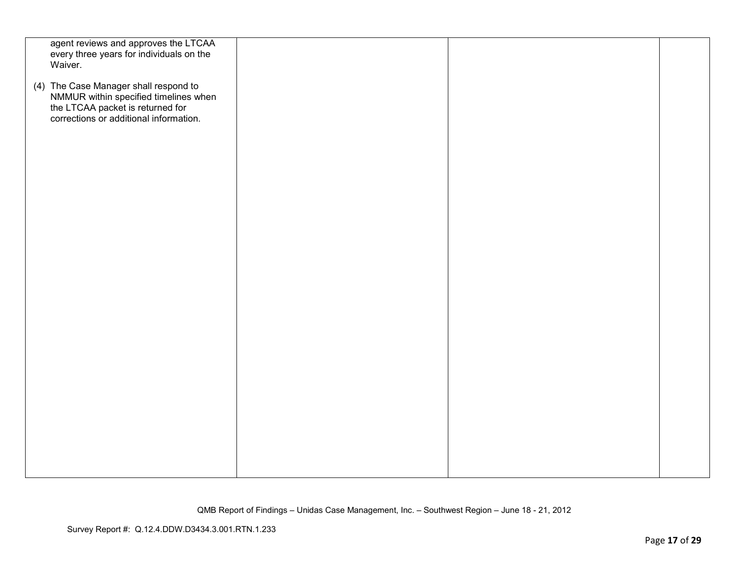| agent reviews and approves the LTCAA                                                                                |  |  |
|---------------------------------------------------------------------------------------------------------------------|--|--|
| every three years for individuals on the                                                                            |  |  |
| Waiver.                                                                                                             |  |  |
| (4) The Case Manager shall respond to                                                                               |  |  |
|                                                                                                                     |  |  |
|                                                                                                                     |  |  |
| NMMUR within specified timelines when<br>the LTCAA packet is returned for<br>corrections or additional information. |  |  |
|                                                                                                                     |  |  |
|                                                                                                                     |  |  |
|                                                                                                                     |  |  |
|                                                                                                                     |  |  |
|                                                                                                                     |  |  |
|                                                                                                                     |  |  |
|                                                                                                                     |  |  |
|                                                                                                                     |  |  |
|                                                                                                                     |  |  |
|                                                                                                                     |  |  |
|                                                                                                                     |  |  |
|                                                                                                                     |  |  |
|                                                                                                                     |  |  |
|                                                                                                                     |  |  |
|                                                                                                                     |  |  |
|                                                                                                                     |  |  |
|                                                                                                                     |  |  |
|                                                                                                                     |  |  |
|                                                                                                                     |  |  |
|                                                                                                                     |  |  |
|                                                                                                                     |  |  |
|                                                                                                                     |  |  |
|                                                                                                                     |  |  |
|                                                                                                                     |  |  |
|                                                                                                                     |  |  |
|                                                                                                                     |  |  |
|                                                                                                                     |  |  |
|                                                                                                                     |  |  |
|                                                                                                                     |  |  |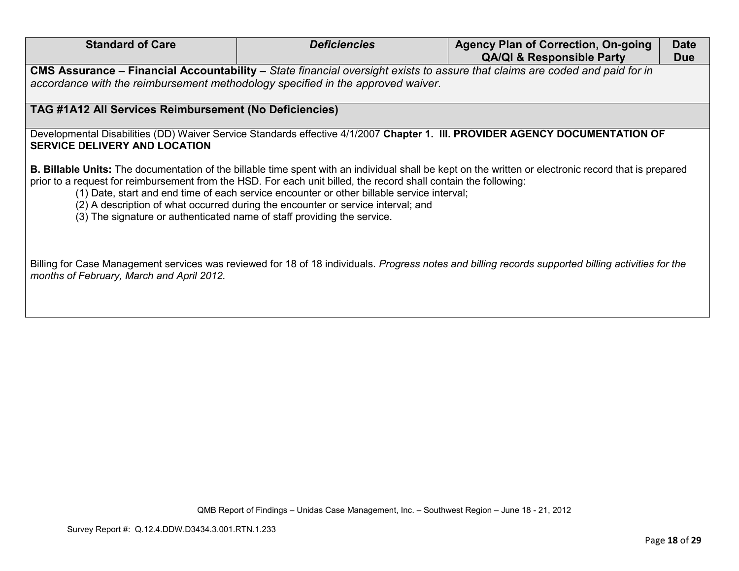| <b>Standard of Care</b>                                                                                                                                                                                                                                                                                                                                                                                                                                                                                                                       | <b>Deficiencies</b> | <b>Agency Plan of Correction, On-going</b><br><b>QA/QI &amp; Responsible Party</b>                                                                  | <b>Date</b><br><b>Due</b> |
|-----------------------------------------------------------------------------------------------------------------------------------------------------------------------------------------------------------------------------------------------------------------------------------------------------------------------------------------------------------------------------------------------------------------------------------------------------------------------------------------------------------------------------------------------|---------------------|-----------------------------------------------------------------------------------------------------------------------------------------------------|---------------------------|
| accordance with the reimbursement methodology specified in the approved waiver.                                                                                                                                                                                                                                                                                                                                                                                                                                                               |                     | CMS Assurance – Financial Accountability – State financial oversight exists to assure that claims are coded and paid for in                         |                           |
| TAG #1A12 All Services Reimbursement (No Deficiencies)                                                                                                                                                                                                                                                                                                                                                                                                                                                                                        |                     |                                                                                                                                                     |                           |
| <b>SERVICE DELIVERY AND LOCATION</b>                                                                                                                                                                                                                                                                                                                                                                                                                                                                                                          |                     | Developmental Disabilities (DD) Waiver Service Standards effective 4/1/2007 Chapter 1. III. PROVIDER AGENCY DOCUMENTATION OF                        |                           |
| <b>B. Billable Units:</b> The documentation of the billable time spent with an individual shall be kept on the written or electronic record that is prepared<br>prior to a request for reimbursement from the HSD. For each unit billed, the record shall contain the following:<br>(1) Date, start and end time of each service encounter or other billable service interval;<br>(2) A description of what occurred during the encounter or service interval; and<br>(3) The signature or authenticated name of staff providing the service. |                     |                                                                                                                                                     |                           |
| months of February, March and April 2012.                                                                                                                                                                                                                                                                                                                                                                                                                                                                                                     |                     | Billing for Case Management services was reviewed for 18 of 18 individuals. Progress notes and billing records supported billing activities for the |                           |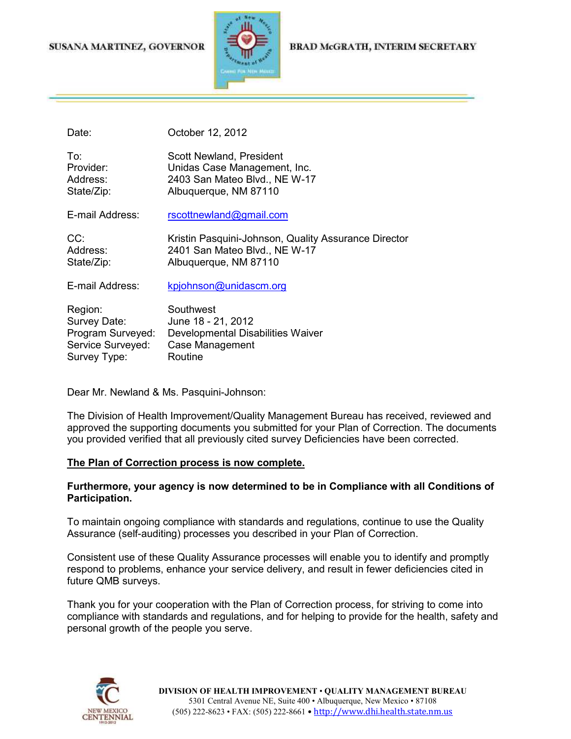### SUSANA MARTINEZ, GOVERNOR



#### BRAD McGRATH, INTERIM SECRETARY

Date: **October 12, 2012** 

| To:<br>Provider:       | Scott Newland, President<br>Unidas Case Management, Inc. |
|------------------------|----------------------------------------------------------|
| Address:               | 2403 San Mateo Blvd., NE W-17                            |
| State/Zip:             | Albuquerque, NM 87110                                    |
| E-mail Address:        | rscottnewland@gmail.com                                  |
| CC:                    | Kristin Pasquini-Johnson, Quality Assurance Director     |
| Address:<br>State/Zip: | 2401 San Mateo Blvd., NE W-17<br>Albuquerque, NM 87110   |
| E-mail Address:        | kpjohnson@unidascm.org                                   |
|                        |                                                          |
| Region:                | Southwest                                                |
| Survey Date:           | June 18 - 21, 2012                                       |
| Program Surveyed:      | Developmental Disabilities Waiver                        |
| Service Surveyed:      | Case Management                                          |

Dear Mr. Newland & Ms. Pasquini-Johnson:

Survey Type: Routine

The Division of Health Improvement/Quality Management Bureau has received, reviewed and approved the supporting documents you submitted for your Plan of Correction. The documents you provided verified that all previously cited survey Deficiencies have been corrected.

#### **The Plan of Correction process is now complete.**

### **Furthermore, your agency is now determined to be in Compliance with all Conditions of Participation.**

To maintain ongoing compliance with standards and regulations, continue to use the Quality Assurance (self-auditing) processes you described in your Plan of Correction.

Consistent use of these Quality Assurance processes will enable you to identify and promptly respond to problems, enhance your service delivery, and result in fewer deficiencies cited in future QMB surveys.

Thank you for your cooperation with the Plan of Correction process, for striving to come into compliance with standards and regulations, and for helping to provide for the health, safety and personal growth of the people you serve.